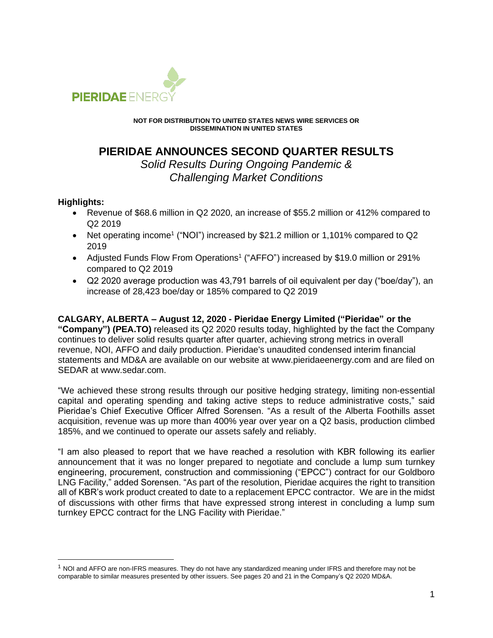

**NOT FOR DISTRIBUTION TO UNITED STATES NEWS WIRE SERVICES OR DISSEMINATION IN UNITED STATES**

# **PIERIDAE ANNOUNCES SECOND QUARTER RESULTS**

*Solid Results During Ongoing Pandemic & Challenging Market Conditions*

# **Highlights:**

- Revenue of \$68.6 million in Q2 2020, an increase of \$55.2 million or 412% compared to Q2 2019
- Net operating income<sup>1</sup> ("NOI") increased by \$21.2 million or 1,101% compared to Q2 2019
- Adjusted Funds Flow From Operations<sup>1</sup> ("AFFO") increased by \$19.0 million or 291% compared to Q2 2019
- Q2 2020 average production was 43,791 barrels of oil equivalent per day ("boe/day"), an increase of 28,423 boe/day or 185% compared to Q2 2019

**CALGARY, ALBERTA – August 12, 2020 - Pieridae Energy Limited ("Pieridae" or the "Company") (PEA.TO)** released its Q2 2020 results today, highlighted by the fact the Company continues to deliver solid results quarter after quarter, achieving strong metrics in overall revenue, NOI, AFFO and daily production. Pieridae's unaudited condensed interim financial statements and MD&A are available on our website at www.pieridaeenergy.com and are filed on SEDAR at www.sedar.com.

"We achieved these strong results through our positive hedging strategy, limiting non-essential capital and operating spending and taking active steps to reduce administrative costs," said Pieridae's Chief Executive Officer Alfred Sorensen. "As a result of the Alberta Foothills asset acquisition, revenue was up more than 400% year over year on a Q2 basis, production climbed 185%, and we continued to operate our assets safely and reliably.

"I am also pleased to report that we have reached a resolution with KBR following its earlier announcement that it was no longer prepared to negotiate and conclude a lump sum turnkey engineering, procurement, construction and commissioning ("EPCC") contract for our Goldboro LNG Facility," added Sorensen. "As part of the resolution, Pieridae acquires the right to transition all of KBR's work product created to date to a replacement EPCC contractor. We are in the midst of discussions with other firms that have expressed strong interest in concluding a lump sum turnkey EPCC contract for the LNG Facility with Pieridae."

<sup>&</sup>lt;sup>1</sup> NOI and AFFO are non-IFRS measures. They do not have any standardized meaning under IFRS and therefore may not be comparable to similar measures presented by other issuers. See pages 20 and 21 in the Company's Q2 2020 MD&A.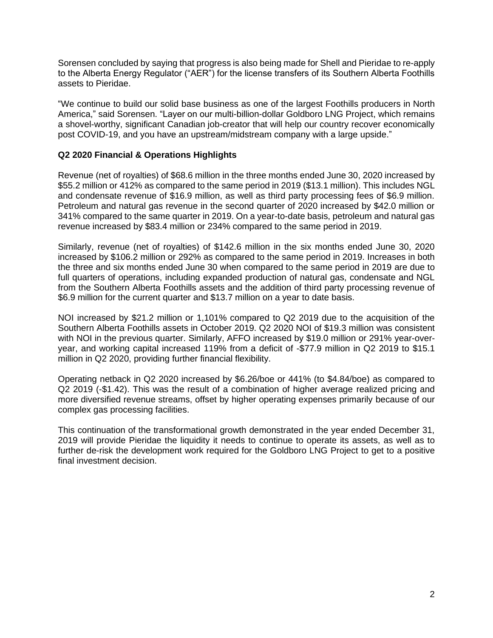Sorensen concluded by saying that progress is also being made for Shell and Pieridae to re-apply to the Alberta Energy Regulator ("AER") for the license transfers of its Southern Alberta Foothills assets to Pieridae.

"We continue to build our solid base business as one of the largest Foothills producers in North America," said Sorensen. "Layer on our multi-billion-dollar Goldboro LNG Project, which remains a shovel-worthy, significant Canadian job-creator that will help our country recover economically post COVID-19, and you have an upstream/midstream company with a large upside."

# **Q2 2020 Financial & Operations Highlights**

Revenue (net of royalties) of \$68.6 million in the three months ended June 30, 2020 increased by \$55.2 million or 412% as compared to the same period in 2019 (\$13.1 million). This includes NGL and condensate revenue of \$16.9 million, as well as third party processing fees of \$6.9 million. Petroleum and natural gas revenue in the second quarter of 2020 increased by \$42.0 million or 341% compared to the same quarter in 2019. On a year-to-date basis, petroleum and natural gas revenue increased by \$83.4 million or 234% compared to the same period in 2019.

Similarly, revenue (net of royalties) of \$142.6 million in the six months ended June 30, 2020 increased by \$106.2 million or 292% as compared to the same period in 2019. Increases in both the three and six months ended June 30 when compared to the same period in 2019 are due to full quarters of operations, including expanded production of natural gas, condensate and NGL from the Southern Alberta Foothills assets and the addition of third party processing revenue of \$6.9 million for the current quarter and \$13.7 million on a year to date basis.

NOI increased by \$21.2 million or 1,101% compared to Q2 2019 due to the acquisition of the Southern Alberta Foothills assets in October 2019. Q2 2020 NOI of \$19.3 million was consistent with NOI in the previous quarter. Similarly, AFFO increased by \$19.0 million or 291% year-overyear, and working capital increased 119% from a deficit of -\$77.9 million in Q2 2019 to \$15.1 million in Q2 2020, providing further financial flexibility.

Operating netback in Q2 2020 increased by \$6.26/boe or 441% (to \$4.84/boe) as compared to Q2 2019 (-\$1.42). This was the result of a combination of higher average realized pricing and more diversified revenue streams, offset by higher operating expenses primarily because of our complex gas processing facilities.

This continuation of the transformational growth demonstrated in the year ended December 31, 2019 will provide Pieridae the liquidity it needs to continue to operate its assets, as well as to further de-risk the development work required for the Goldboro LNG Project to get to a positive final investment decision.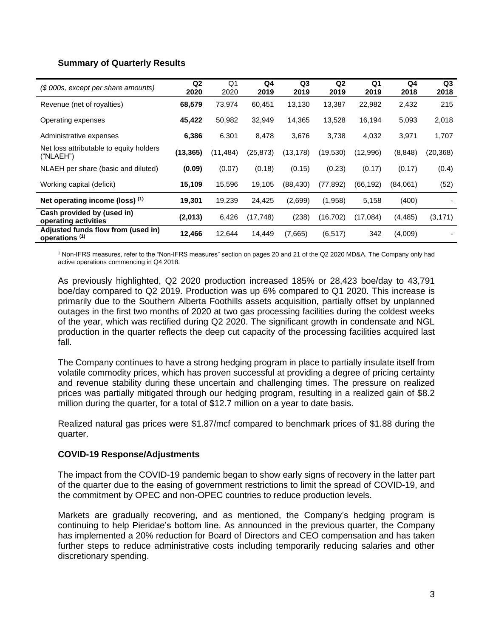#### **Summary of Quarterly Results**

| (\$ 000s, except per share amounts)                             | Q <sub>2</sub><br>2020 | Q <sub>1</sub><br>2020 | Q4<br>2019 | Q <sub>3</sub><br>2019 | Q <sub>2</sub><br>2019 | Q <sub>1</sub><br>2019 | Q4<br>2018 | Q3<br>2018 |
|-----------------------------------------------------------------|------------------------|------------------------|------------|------------------------|------------------------|------------------------|------------|------------|
| Revenue (net of royalties)                                      | 68,579                 | 73,974                 | 60,451     | 13,130                 | 13,387                 | 22,982                 | 2,432      | 215        |
| Operating expenses                                              | 45,422                 | 50,982                 | 32,949     | 14,365                 | 13,528                 | 16,194                 | 5,093      | 2,018      |
| Administrative expenses                                         | 6,386                  | 6,301                  | 8,478      | 3,676                  | 3,738                  | 4,032                  | 3,971      | 1,707      |
| Net loss attributable to equity holders<br>("NLAEH")            | (13, 365)              | (11, 484)              | (25, 873)  | (13, 178)              | (19,530)               | (12,996)               | (8, 848)   | (20, 368)  |
| NLAEH per share (basic and diluted)                             | (0.09)                 | (0.07)                 | (0.18)     | (0.15)                 | (0.23)                 | (0.17)                 | (0.17)     | (0.4)      |
| Working capital (deficit)                                       | 15,109                 | 15,596                 | 19,105     | (88, 430)              | (77, 892)              | (66, 192)              | (84,061)   | (52)       |
| Net operating income (loss) (1)                                 | 19,301                 | 19,239                 | 24,425     | (2,699)                | (1,958)                | 5,158                  | (400)      |            |
| Cash provided by (used in)<br>operating activities              | (2,013)                | 6,426                  | (17, 748)  | (238)                  | (16, 702)              | (17,084)               | (4, 485)   | (3, 171)   |
| Adjusted funds flow from (used in)<br>operations <sup>(1)</sup> | 12,466                 | 12,644                 | 14,449     | (7,665)                | (6, 517)               | 342                    | (4,009)    |            |

<sup>1</sup> Non-IFRS measures, refer to the "Non-IFRS measures" section on pages 20 and 21 of the Q2 2020 MD&A. The Company only had active operations commencing in Q4 2018.

As previously highlighted, Q2 2020 production increased 185% or 28,423 boe/day to 43,791 boe/day compared to Q2 2019. Production was up 6% compared to Q1 2020. This increase is primarily due to the Southern Alberta Foothills assets acquisition, partially offset by unplanned outages in the first two months of 2020 at two gas processing facilities during the coldest weeks of the year, which was rectified during Q2 2020. The significant growth in condensate and NGL production in the quarter reflects the deep cut capacity of the processing facilities acquired last fall.

The Company continues to have a strong hedging program in place to partially insulate itself from volatile commodity prices, which has proven successful at providing a degree of pricing certainty and revenue stability during these uncertain and challenging times. The pressure on realized prices was partially mitigated through our hedging program, resulting in a realized gain of \$8.2 million during the quarter, for a total of \$12.7 million on a year to date basis.

Realized natural gas prices were \$1.87/mcf compared to benchmark prices of \$1.88 during the quarter.

#### **COVID-19 Response/Adjustments**

The impact from the COVID-19 pandemic began to show early signs of recovery in the latter part of the quarter due to the easing of government restrictions to limit the spread of COVID-19, and the commitment by OPEC and non-OPEC countries to reduce production levels.

Markets are gradually recovering, and as mentioned, the Company's hedging program is continuing to help Pieridae's bottom line. As announced in the previous quarter, the Company has implemented a 20% reduction for Board of Directors and CEO compensation and has taken further steps to reduce administrative costs including temporarily reducing salaries and other discretionary spending.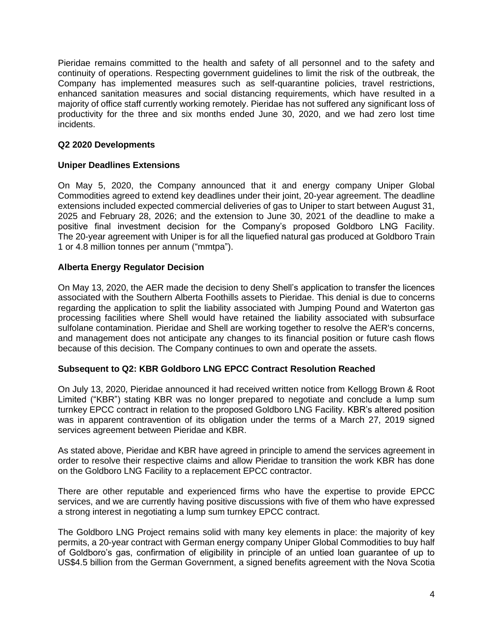Pieridae remains committed to the health and safety of all personnel and to the safety and continuity of operations. Respecting government guidelines to limit the risk of the outbreak, the Company has implemented measures such as self-quarantine policies, travel restrictions, enhanced sanitation measures and social distancing requirements, which have resulted in a majority of office staff currently working remotely. Pieridae has not suffered any significant loss of productivity for the three and six months ended June 30, 2020, and we had zero lost time incidents.

## **Q2 2020 Developments**

# **Uniper Deadlines Extensions**

On May 5, 2020, the Company announced that it and energy company Uniper Global Commodities agreed to extend key deadlines under their joint, 20-year agreement. The deadline extensions included expected commercial deliveries of gas to Uniper to start between August 31, 2025 and February 28, 2026; and the extension to June 30, 2021 of the deadline to make a positive final investment decision for the Company's proposed Goldboro LNG Facility. The 20-year agreement with Uniper is for all the liquefied natural gas produced at Goldboro Train 1 or 4.8 million tonnes per annum ("mmtpa").

# **Alberta Energy Regulator Decision**

On May 13, 2020, the AER made the decision to deny Shell's application to transfer the licences associated with the Southern Alberta Foothills assets to Pieridae. This denial is due to concerns regarding the application to split the liability associated with Jumping Pound and Waterton gas processing facilities where Shell would have retained the liability associated with subsurface sulfolane contamination. Pieridae and Shell are working together to resolve the AER's concerns, and management does not anticipate any changes to its financial position or future cash flows because of this decision. The Company continues to own and operate the assets.

#### **Subsequent to Q2: KBR Goldboro LNG EPCC Contract Resolution Reached**

On July 13, 2020, Pieridae announced it had received written notice from Kellogg Brown & Root Limited ("KBR") stating KBR was no longer prepared to negotiate and conclude a lump sum turnkey EPCC contract in relation to the proposed Goldboro LNG Facility. KBR's altered position was in apparent contravention of its obligation under the terms of a March 27, 2019 signed services agreement between Pieridae and KBR.

As stated above, Pieridae and KBR have agreed in principle to amend the services agreement in order to resolve their respective claims and allow Pieridae to transition the work KBR has done on the Goldboro LNG Facility to a replacement EPCC contractor.

There are other reputable and experienced firms who have the expertise to provide EPCC services, and we are currently having positive discussions with five of them who have expressed a strong interest in negotiating a lump sum turnkey EPCC contract.

The Goldboro LNG Project remains solid with many key elements in place: the majority of key permits, a 20-year contract with German energy company Uniper Global Commodities to buy half of Goldboro's gas, confirmation of eligibility in principle of an untied loan guarantee of up to US\$4.5 billion from the German Government, a signed benefits agreement with the Nova Scotia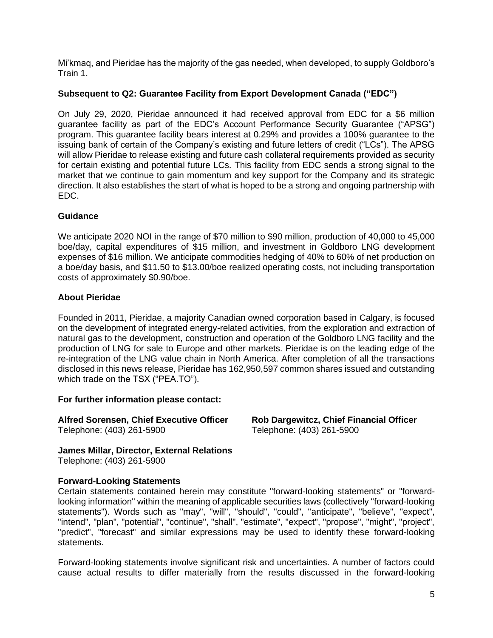Mi'kmaq, and Pieridae has the majority of the gas needed, when developed, to supply Goldboro's Train 1.

## **Subsequent to Q2: Guarantee Facility from Export Development Canada ("EDC")**

On July 29, 2020, Pieridae announced it had received approval from EDC for a \$6 million guarantee facility as part of the EDC's Account Performance Security Guarantee ("APSG") program. This guarantee facility bears interest at 0.29% and provides a 100% guarantee to the issuing bank of certain of the Company's existing and future letters of credit ("LCs"). The APSG will allow Pieridae to release existing and future cash collateral requirements provided as security for certain existing and potential future LCs. This facility from EDC sends a strong signal to the market that we continue to gain momentum and key support for the Company and its strategic direction. It also establishes the start of what is hoped to be a strong and ongoing partnership with EDC.

#### **Guidance**

We anticipate 2020 NOI in the range of \$70 million to \$90 million, production of 40,000 to 45,000 boe/day, capital expenditures of \$15 million, and investment in Goldboro LNG development expenses of \$16 million. We anticipate commodities hedging of 40% to 60% of net production on a boe/day basis, and \$11.50 to \$13.00/boe realized operating costs, not including transportation costs of approximately \$0.90/boe.

#### **About Pieridae**

Founded in 2011, Pieridae, a majority Canadian owned corporation based in Calgary, is focused on the development of integrated energy-related activities, from the exploration and extraction of natural gas to the development, construction and operation of the Goldboro LNG facility and the production of LNG for sale to Europe and other markets. Pieridae is on the leading edge of the re-integration of the LNG value chain in North America. After completion of all the transactions disclosed in this news release, Pieridae has 162,950,597 common shares issued and outstanding which trade on the TSX ("PEA.TO").

**For further information please contact:**

**Alfred Sorensen, Chief Executive Officer Rob Dargewitcz, Chief Financial Officer** Telephone: (403) 261-5900 Telephone: (403) 261-5900

**James Millar, Director, External Relations** Telephone: (403) 261-5900

#### **Forward-Looking Statements**

Certain statements contained herein may constitute "forward-looking statements" or "forwardlooking information" within the meaning of applicable securities laws (collectively "forward-looking statements"). Words such as "may", "will", "should", "could", "anticipate", "believe", "expect", "intend", "plan", "potential", "continue", "shall", "estimate", "expect", "propose", "might", "project", "predict", "forecast" and similar expressions may be used to identify these forward-looking statements.

Forward-looking statements involve significant risk and uncertainties. A number of factors could cause actual results to differ materially from the results discussed in the forward-looking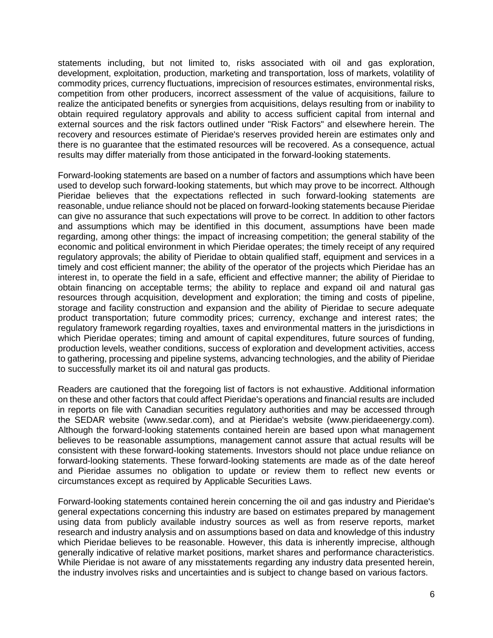statements including, but not limited to, risks associated with oil and gas exploration, development, exploitation, production, marketing and transportation, loss of markets, volatility of commodity prices, currency fluctuations, imprecision of resources estimates, environmental risks, competition from other producers, incorrect assessment of the value of acquisitions, failure to realize the anticipated benefits or synergies from acquisitions, delays resulting from or inability to obtain required regulatory approvals and ability to access sufficient capital from internal and external sources and the risk factors outlined under "Risk Factors" and elsewhere herein. The recovery and resources estimate of Pieridae's reserves provided herein are estimates only and there is no guarantee that the estimated resources will be recovered. As a consequence, actual results may differ materially from those anticipated in the forward-looking statements.

Forward-looking statements are based on a number of factors and assumptions which have been used to develop such forward-looking statements, but which may prove to be incorrect. Although Pieridae believes that the expectations reflected in such forward-looking statements are reasonable, undue reliance should not be placed on forward-looking statements because Pieridae can give no assurance that such expectations will prove to be correct. In addition to other factors and assumptions which may be identified in this document, assumptions have been made regarding, among other things: the impact of increasing competition; the general stability of the economic and political environment in which Pieridae operates; the timely receipt of any required regulatory approvals; the ability of Pieridae to obtain qualified staff, equipment and services in a timely and cost efficient manner; the ability of the operator of the projects which Pieridae has an interest in, to operate the field in a safe, efficient and effective manner; the ability of Pieridae to obtain financing on acceptable terms; the ability to replace and expand oil and natural gas resources through acquisition, development and exploration; the timing and costs of pipeline, storage and facility construction and expansion and the ability of Pieridae to secure adequate product transportation; future commodity prices; currency, exchange and interest rates; the regulatory framework regarding royalties, taxes and environmental matters in the jurisdictions in which Pieridae operates; timing and amount of capital expenditures, future sources of funding, production levels, weather conditions, success of exploration and development activities, access to gathering, processing and pipeline systems, advancing technologies, and the ability of Pieridae to successfully market its oil and natural gas products.

Readers are cautioned that the foregoing list of factors is not exhaustive. Additional information on these and other factors that could affect Pieridae's operations and financial results are included in reports on file with Canadian securities regulatory authorities and may be accessed through the SEDAR website (www.sedar.com), and at Pieridae's website (www.pieridaeenergy.com). Although the forward-looking statements contained herein are based upon what management believes to be reasonable assumptions, management cannot assure that actual results will be consistent with these forward-looking statements. Investors should not place undue reliance on forward-looking statements. These forward-looking statements are made as of the date hereof and Pieridae assumes no obligation to update or review them to reflect new events or circumstances except as required by Applicable Securities Laws.

Forward-looking statements contained herein concerning the oil and gas industry and Pieridae's general expectations concerning this industry are based on estimates prepared by management using data from publicly available industry sources as well as from reserve reports, market research and industry analysis and on assumptions based on data and knowledge of this industry which Pieridae believes to be reasonable. However, this data is inherently imprecise, although generally indicative of relative market positions, market shares and performance characteristics. While Pieridae is not aware of any misstatements regarding any industry data presented herein, the industry involves risks and uncertainties and is subject to change based on various factors.